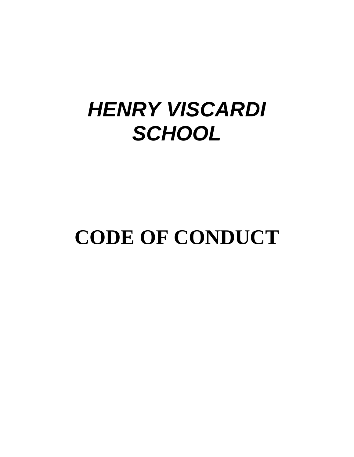# *HENRY VISCARDI SCHOOL*

# **CODE OF CONDUCT**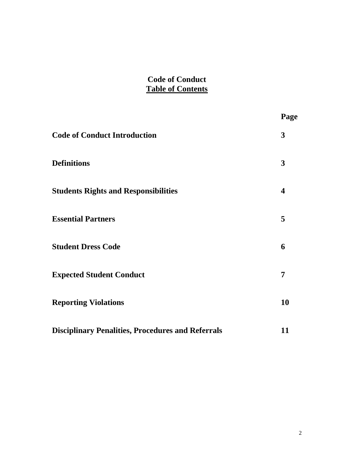# **Code of Conduct Table of Contents**

|                                                          | Page |
|----------------------------------------------------------|------|
| <b>Code of Conduct Introduction</b>                      | 3    |
| <b>Definitions</b>                                       | 3    |
| <b>Students Rights and Responsibilities</b>              | 4    |
| <b>Essential Partners</b>                                | 5    |
| <b>Student Dress Code</b>                                | 6    |
| <b>Expected Student Conduct</b>                          | 7    |
| <b>Reporting Violations</b>                              | 10   |
| <b>Disciplinary Penalities, Procedures and Referrals</b> | 11   |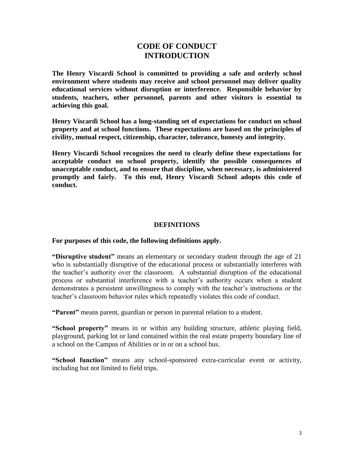# **CODE OF CONDUCT INTRODUCTION**

**The Henry Viscardi School is committed to providing a safe and orderly school environment where students may receive and school personnel may deliver quality educational services without disruption or interference. Responsible behavior by students, teachers, other personnel, parents and other visitors is essential to achieving this goal.**

**Henry Viscardi School has a long-standing set of expectations for conduct on school property and at school functions. These expectations are based on the principles of civility, mutual respect, citizenship, character, tolerance, honesty and integrity.**

**Henry Viscardi School recognizes the need to clearly define these expectations for acceptable conduct on school property, identify the possible consequences of unacceptable conduct, and to ensure that discipline, when necessary, is administered promptly and fairly. To this end, Henry Viscardi School adopts this code of conduct.** 

#### **DEFINITIONS**

#### **For purposes of this code, the following definitions apply.**

**"Disruptive student"** means an elementary or secondary student through the age of 21 who is substantially disruptive of the educational process or substantially interferes with the teacher's authority over the classroom. A substantial disruption of the educational process or substantial interference with a teacher's authority occurs when a student demonstrates a persistent unwillingness to comply with the teacher's instructions or the teacher's classroom behavior rules which repeatedly violates this code of conduct.

**"Parent"** means parent, guardian or person in parental relation to a student.

**"School property"** means in or within any building structure, athletic playing field, playground, parking lot or land contained within the real estate property boundary line of a school on the Campus of Abilities or in or on a school bus.

**"School function"** means any school-sponsored extra-curricular event or activity, including but not limited to field trips.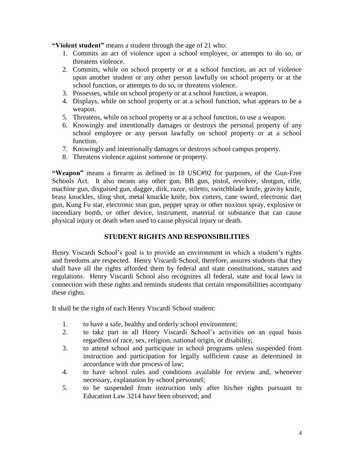**"Violent student"** means a student through the age of 21 who:

- 1. Commits an act of violence upon a school employee, or attempts to do so, or threatens violence.
- 2. Commits, while on school property or at a school function, an act of violence upon another student or any other person lawfully on school property or at the school function, or attempts to do so, or threatens violence.
- 3. Possesses, while on school property or at a school function, a weapon.
- 4. Displays, while on school property or at a school function, what appears to be a weapon.
- 5. Threatens, while on school property or at a school function, to use a weapon.
- 6. Knowingly and intentionally damages or destroys the personal property of any school employee or any person lawfully on school property or at a school function.
- 7. Knowingly and intentionally damages or destroys school campus property.
- 8. Threatens violence against someone or property.

**"Weapon"** means a firearm as defined in 18 USC#92 for purposes, of the Gun-Free Schools Act. It also means any other gun, BB gun, pistol, revolver, shotgun, rifle, machine gun, disguised gun, dagger, dirk, razor, stiletto, switchblade knife, gravity knife, brass knuckles, sling shot, metal knuckle knife, box cutters, cane sword, electronic dart gun, Kung Fu star, electronic stun gun, pepper spray or other noxious spray, explosive or incendiary bomb, or other device, instrument, material or substance that can cause physical injury or death when used to cause physical injury or death.

# **STUDENT RIGHTS AND RESPONSIBILITIES**

Henry Viscardi School's goal is to provide an environment in which a student's rights and freedoms are respected. Henry Viscardi School, therefore, assures students that they shall have all the rights afforded them by federal and state constitutions, statutes and regulations. Henry Viscardi School also recognizes all federal, state and local laws in connection with these rights and reminds students that certain responsibilities accompany these rights.

It shall be the right of each Henry Viscardi School student:

- 1. to have a safe, healthy and orderly school environment;
- 2. to take part in all Henry Viscardi School's activities on an equal basis regardless of race, sex, religion, national origin, or disability;
- 3. to attend school and participate in school programs unless suspended from instruction and participation for legally sufficient cause as determined in accordance with due process of law;
- 4. to have school rules and conditions available for review and, whenever necessary, explanation by school personnel;
- 5. to be suspended from instruction only after his/her rights pursuant to Education Law 3214 have been observed; and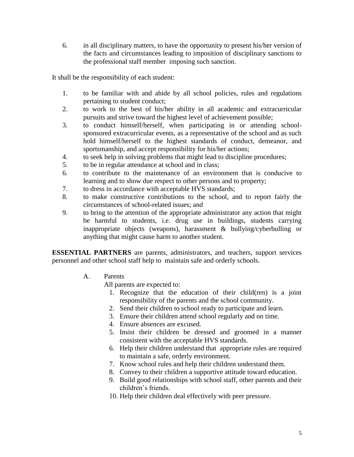6. in all disciplinary matters, to have the opportunity to present his/her version of the facts and circumstances leading to imposition of disciplinary sanctions to the professional staff member imposing such sanction.

It shall be the responsibility of each student:

- 1. to be familiar with and abide by all school policies, rules and regulations pertaining to student conduct;
- 2. to work to the best of his/her ability in all academic and extracurricular pursuits and strive toward the highest level of achievement possible;
- 3. to conduct himself/herself, when participating in or attending schoolsponsored extracurricular events, as a representative of the school and as such hold himself/herself to the highest standards of conduct, demeanor, and sportsmanship, and accept responsibility for his/her actions;
- 4. to seek help in solving problems that might lead to discipline procedures;
- 5. to be in regular attendance at school and in class;
- 6. to contribute to the maintenance of an environment that is conducive to learning and to show due respect to other persons and to property;
- 7. to dress in accordance with acceptable HVS standards;
- 8. to make constructive contributions to the school, and to report fairly the circumstances of school-related issues; and
- 9. to bring to the attention of the appropriate administrator any action that might be harmful to students, i.e. drug use in buildings, students carrying inappropriate objects (weapons), harassment & bullying/cyberbulling or anything that might cause harm to another student.

**ESSENTIAL PARTNERS** are parents, administrators, and teachers, support services personnel and other school staff help to maintain safe and orderly schools.

A. Parents

All parents are expected to:

- 1. Recognize that the education of their child(ren) is a joint responsibility of the parents and the school community.
- 2. Send their children to school ready to participate and learn.
- 3. Ensure their children attend school regularly and on time.
- 4. Ensure absences are excused.
- 5. Insist their children be dressed and groomed in a manner consistent with the acceptable HVS standards.
- 6. Help their children understand that appropriate rules are required to maintain a safe, orderly environment.
- 7. Know school rules and help their children understand them.
- 8. Convey to their children a supportive attitude toward education.
- 9. Build good relationships with school staff, other parents and their children's friends.
- 10. Help their children deal effectively with peer pressure.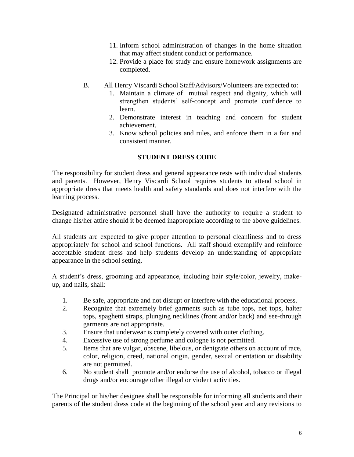- 11. Inform school administration of changes in the home situation that may affect student conduct or performance.
- 12. Provide a place for study and ensure homework assignments are completed.
- B. All Henry Viscardi School Staff/Advisors/Volunteers are expected to:
	- 1. Maintain a climate of mutual respect and dignity, which will strengthen students' self-concept and promote confidence to learn.
	- 2. Demonstrate interest in teaching and concern for student achievement.
	- 3. Know school policies and rules, and enforce them in a fair and consistent manner.

# **STUDENT DRESS CODE**

The responsibility for student dress and general appearance rests with individual students and parents. However, Henry Viscardi School requires students to attend school in appropriate dress that meets health and safety standards and does not interfere with the learning process.

Designated administrative personnel shall have the authority to require a student to change his/her attire should it be deemed inappropriate according to the above guidelines.

All students are expected to give proper attention to personal cleanliness and to dress appropriately for school and school functions. All staff should exemplify and reinforce acceptable student dress and help students develop an understanding of appropriate appearance in the school setting.

A student's dress, grooming and appearance, including hair style/color, jewelry, makeup, and nails, shall:

- 1. Be safe, appropriate and not disrupt or interfere with the educational process.
- 2. Recognize that extremely brief garments such as tube tops, net tops, halter tops, spaghetti straps, plunging necklines (front and/or back) and see-through garments are not appropriate.
- 3. Ensure that underwear is completely covered with outer clothing.
- 4. Excessive use of strong perfume and cologne is not permitted.
- 5. Items that are vulgar, obscene, libelous, or denigrate others on account of race, color, religion, creed, national origin, gender, sexual orientation or disability are not permitted.
- 6. No student shall promote and/or endorse the use of alcohol, tobacco or illegal drugs and/or encourage other illegal or violent activities.

The Principal or his/her designee shall be responsible for informing all students and their parents of the student dress code at the beginning of the school year and any revisions to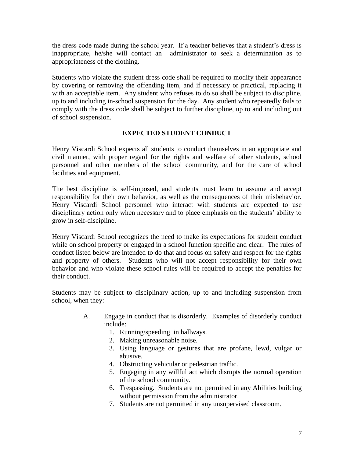the dress code made during the school year. If a teacher believes that a student's dress is inappropriate, he/she will contact an administrator to seek a determination as to appropriateness of the clothing.

Students who violate the student dress code shall be required to modify their appearance by covering or removing the offending item, and if necessary or practical, replacing it with an acceptable item. Any student who refuses to do so shall be subject to discipline, up to and including in-school suspension for the day. Any student who repeatedly fails to comply with the dress code shall be subject to further discipline, up to and including out of school suspension.

# **EXPECTED STUDENT CONDUCT**

Henry Viscardi School expects all students to conduct themselves in an appropriate and civil manner, with proper regard for the rights and welfare of other students, school personnel and other members of the school community, and for the care of school facilities and equipment.

The best discipline is self-imposed, and students must learn to assume and accept responsibility for their own behavior, as well as the consequences of their misbehavior. Henry Viscardi School personnel who interact with students are expected to use disciplinary action only when necessary and to place emphasis on the students' ability to grow in self-discipline.

Henry Viscardi School recognizes the need to make its expectations for student conduct while on school property or engaged in a school function specific and clear. The rules of conduct listed below are intended to do that and focus on safety and respect for the rights and property of others. Students who will not accept responsibility for their own behavior and who violate these school rules will be required to accept the penalties for their conduct.

Students may be subject to disciplinary action, up to and including suspension from school, when they:

- A. Engage in conduct that is disorderly. Examples of disorderly conduct include:
	- 1. Running/speeding in hallways.
	- 2. Making unreasonable noise.
	- 3. Using language or gestures that are profane, lewd, vulgar or abusive.
	- 4. Obstructing vehicular or pedestrian traffic.
	- 5. Engaging in any willful act which disrupts the normal operation of the school community.
	- 6. Trespassing. Students are not permitted in any Abilities building without permission from the administrator.
	- 7. Students are not permitted in any unsupervised classroom.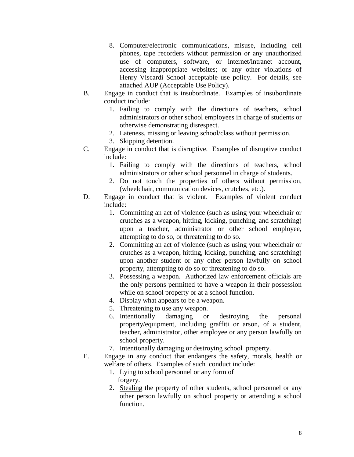- 8. Computer/electronic communications, misuse, including cell phones, tape recorders without permission or any unauthorized use of computers, software, or internet/intranet account, accessing inappropriate websites; or any other violations of Henry Viscardi School acceptable use policy. For details, see attached AUP (Acceptable Use Policy).
- B. Engage in conduct that is insubordinate. Examples of insubordinate conduct include:
	- 1. Failing to comply with the directions of teachers, school administrators or other school employees in charge of students or otherwise demonstrating disrespect.
	- 2. Lateness, missing or leaving school/class without permission.
	- 3. Skipping detention.
- C. Engage in conduct that is disruptive. Examples of disruptive conduct include:
	- 1. Failing to comply with the directions of teachers, school administrators or other school personnel in charge of students.
	- 2. Do not touch the properties of others without permission, (wheelchair, communication devices, crutches, etc.).
- D. Engage in conduct that is violent. Examples of violent conduct include:
	- 1. Committing an act of violence (such as using your wheelchair or crutches as a weapon, hitting, kicking, punching, and scratching) upon a teacher, administrator or other school employee, attempting to do so, or threatening to do so.
	- 2. Committing an act of violence (such as using your wheelchair or crutches as a weapon, hitting, kicking, punching, and scratching) upon another student or any other person lawfully on school property, attempting to do so or threatening to do so.
	- 3. Possessing a weapon. Authorized law enforcement officials are the only persons permitted to have a weapon in their possession while on school property or at a school function.
	- 4. Display what appears to be a weapon.
	- 5. Threatening to use any weapon.
	- 6. Intentionally damaging or destroying the personal property/equipment, including graffiti or arson, of a student, teacher, administrator, other employee or any person lawfully on school property.
	- 7. Intentionally damaging or destroying school property.
- E. Engage in any conduct that endangers the safety, morals, health or welfare of others. Examples of such conduct include:
	- 1. Lying to school personnel or any form of forgery.
	- 2. Stealing the property of other students, school personnel or any other person lawfully on school property or attending a school function.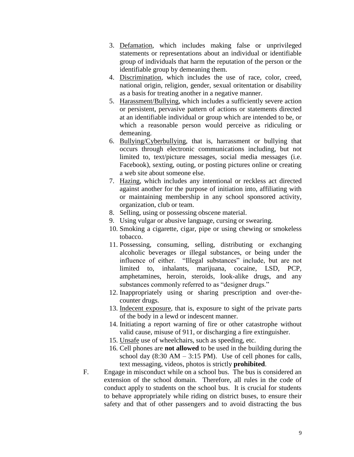- 3. Defamation, which includes making false or unprivileged statements or representations about an individual or identifiable group of individuals that harm the reputation of the person or the identifiable group by demeaning them.
- 4. Discrimination, which includes the use of race, color, creed, national origin, religion, gender, sexual oritentation or disability as a basis for treating another in a negative manner.
- 5. Harassment/Bullying, which includes a sufficiently severe action or persistent, pervasive pattern of actions or statements directed at an identifiable individual or group which are intended to be, or which a reasonable person would perceive as ridiculing or demeaning.
- 6. Bullying/Cyberbullying, that is, harrassment or bullying that occurs through electronic communications including, but not limited to, text/picture messages, social media messages (i.e. Facebook), sexting, outing, or posting pictures online or creating a web site about someone else.
- 7. Hazing, which includes any intentional or reckless act directed against another for the purpose of initiation into, affiliating with or maintaining membership in any school sponsored activity, organization, club or team.
- 8. Selling, using or possessing obscene material.
- 9. Using vulgar or abusive language, cursing or swearing.
- 10. Smoking a cigarette, cigar, pipe or using chewing or smokeless tobacco.
- 11. Possessing, consuming, selling, distributing or exchanging alcoholic beverages or illegal substances, or being under the influence of either. "Illegal substances" include, but are not limited to, inhalants, marijuana, cocaine, LSD, PCP, amphetamines, heroin, steroids, look-alike drugs, and any substances commonly referred to as "designer drugs."
- 12. Inappropriately using or sharing prescription and over-thecounter drugs.
- 13. Indecent exposure, that is, exposure to sight of the private parts of the body in a lewd or indescent manner.
- 14. Initiating a report warning of fire or other catastrophe without valid cause, misuse of 911, or discharging a fire extinguisher.
- 15. Unsafe use of wheelchairs, such as speeding, etc.
- 16. Cell phones are **not allowed** to be used in the building during the school day  $(8:30 \text{ AM} - 3:15 \text{ PM})$ . Use of cell phones for calls, text messaging, videos, photos is strictly **prohibited**.
- F. Engage in misconduct while on a school bus. The bus is considered an extension of the school domain. Therefore, all rules in the code of conduct apply to students on the school bus. It is crucial for students to behave appropriately while riding on district buses, to ensure their safety and that of other passengers and to avoid distracting the bus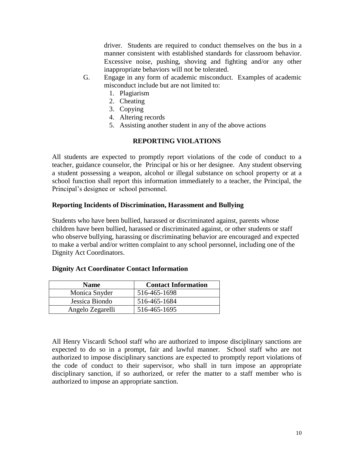driver. Students are required to conduct themselves on the bus in a manner consistent with established standards for classroom behavior. Excessive noise, pushing, shoving and fighting and/or any other inappropriate behaviors will not be tolerated.

- G. Engage in any form of academic misconduct. Examples of academic misconduct include but are not limited to:
	- 1. Plagiarism
	- 2. Cheating
	- 3. Copying
	- 4. Altering records
	- 5. Assisting another student in any of the above actions

#### **REPORTING VIOLATIONS**

All students are expected to promptly report violations of the code of conduct to a teacher, guidance counselor, the Principal or his or her designee. Any student observing a student possessing a weapon, alcohol or illegal substance on school property or at a school function shall report this information immediately to a teacher, the Principal, the Principal's designee or school personnel.

#### **Reporting Incidents of Discrimination, Harassment and Bullying**

Students who have been bullied, harassed or discriminated against, parents whose children have been bullied, harassed or discriminated against, or other students or staff who observe bullying, harassing or discriminating behavior are encouraged and expected to make a verbal and/or written complaint to any school personnel, including one of the Dignity Act Coordinators.

#### **Dignity Act Coordinator Contact Information**

| <b>Name</b>      | <b>Contact Information</b> |
|------------------|----------------------------|
| Monica Snyder    | 516-465-1698               |
| Jessica Biondo   | 516-465-1684               |
| Angelo Zegarelli | 516-465-1695               |

All Henry Viscardi School staff who are authorized to impose disciplinary sanctions are expected to do so in a prompt, fair and lawful manner. School staff who are not authorized to impose disciplinary sanctions are expected to promptly report violations of the code of conduct to their supervisor, who shall in turn impose an appropriate disciplinary sanction, if so authorized, or refer the matter to a staff member who is authorized to impose an appropriate sanction.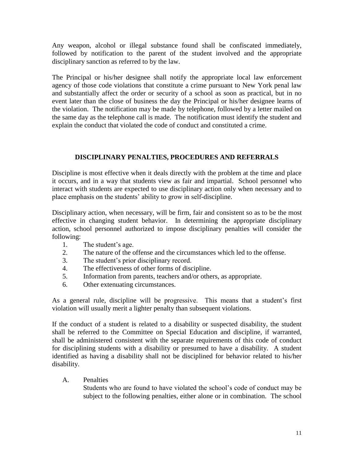Any weapon, alcohol or illegal substance found shall be confiscated immediately, followed by notification to the parent of the student involved and the appropriate disciplinary sanction as referred to by the law.

The Principal or his/her designee shall notify the appropriate local law enforcement agency of those code violations that constitute a crime pursuant to New York penal law and substantially affect the order or security of a school as soon as practical, but in no event later than the close of business the day the Principal or his/her designee learns of the violation. The notification may be made by telephone, followed by a letter mailed on the same day as the telephone call is made. The notification must identify the student and explain the conduct that violated the code of conduct and constituted a crime.

# **DISCIPLINARY PENALTIES, PROCEDURES AND REFERRALS**

Discipline is most effective when it deals directly with the problem at the time and place it occurs, and in a way that students view as fair and impartial. School personnel who interact with students are expected to use disciplinary action only when necessary and to place emphasis on the students' ability to grow in self-discipline.

Disciplinary action, when necessary, will be firm, fair and consistent so as to be the most effective in changing student behavior. In determining the appropriate disciplinary action, school personnel authorized to impose disciplinary penalties will consider the following:

- 1. The student's age.
- 2. The nature of the offense and the circumstances which led to the offense.
- 3. The student's prior disciplinary record.
- 4. The effectiveness of other forms of discipline.
- 5. Information from parents, teachers and/or others, as appropriate.
- 6. Other extenuating circumstances.

As a general rule, discipline will be progressive. This means that a student's first violation will usually merit a lighter penalty than subsequent violations.

If the conduct of a student is related to a disability or suspected disability, the student shall be referred to the Committee on Special Education and discipline, if warranted, shall be administered consistent with the separate requirements of this code of conduct for disciplining students with a disability or presumed to have a disability. A student identified as having a disability shall not be disciplined for behavior related to his/her disability.

# A. Penalties

Students who are found to have violated the school's code of conduct may be subject to the following penalties, either alone or in combination. The school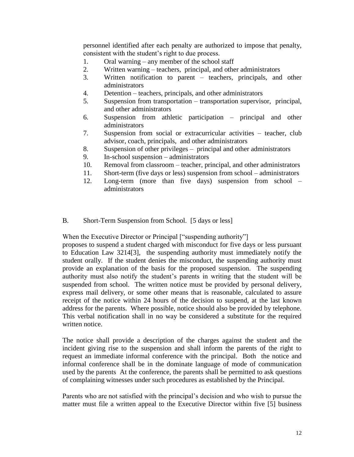personnel identified after each penalty are authorized to impose that penalty, consistent with the student's right to due process.

- 1. Oral warning any member of the school staff
- 2. Written warning teachers, principal, and other administrators
- 3. Written notification to parent teachers, principals, and other administrators
- 4. Detention teachers, principals, and other administrators
- 5. Suspension from transportation transportation supervisor, principal, and other administrators
- 6. Suspension from athletic participation principal and other administrators
- 7. Suspension from social or extracurricular activities teacher, club advisor, coach, principals, and other administrators
- 8. Suspension of other privileges principal and other administrators
- 9. In-school suspension administrators
- 10. Removal from classroom teacher, principal, and other administrators
- 11. Short-term (five days or less) suspension from school administrators
- 12. Long-term (more than five days) suspension from school administrators
- B. Short-Term Suspension from School. [5 days or less]

When the Executive Director or Principal ["suspending authority"]

proposes to suspend a student charged with misconduct for five days or less pursuant to Education Law 3214[3], the suspending authority must immediately notify the student orally. If the student denies the misconduct, the suspending authority must provide an explanation of the basis for the proposed suspension. The suspending authority must also notify the student's parents in writing that the student will be suspended from school. The written notice must be provided by personal delivery, express mail delivery, or some other means that is reasonable, calculated to assure receipt of the notice within 24 hours of the decision to suspend, at the last known address for the parents. Where possible, notice should also be provided by telephone. This verbal notification shall in no way be considered a substitute for the required written notice.

The notice shall provide a description of the charges against the student and the incident giving rise to the suspension and shall inform the parents of the right to request an immediate informal conference with the principal. Both the notice and informal conference shall be in the dominate language of mode of communication used by the parents At the conference, the parents shall be permitted to ask questions of complaining witnesses under such procedures as established by the Principal.

Parents who are not satisfied with the principal's decision and who wish to pursue the matter must file a written appeal to the Executive Director within five [5] business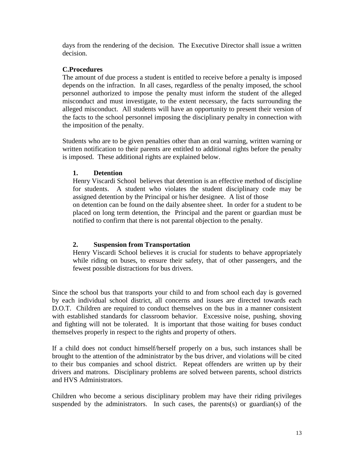days from the rendering of the decision. The Executive Director shall issue a written decision.

#### **C.Procedures**

The amount of due process a student is entitled to receive before a penalty is imposed depends on the infraction. In all cases, regardless of the penalty imposed, the school personnel authorized to impose the penalty must inform the student of the alleged misconduct and must investigate, to the extent necessary, the facts surrounding the alleged misconduct. All students will have an opportunity to present their version of the facts to the school personnel imposing the disciplinary penalty in connection with the imposition of the penalty.

Students who are to be given penalties other than an oral warning, written warning or written notification to their parents are entitled to additional rights before the penalty is imposed. These additional rights are explained below.

# **1. Detention**

Henry Viscardi School believes that detention is an effective method of discipline for students. A student who violates the student disciplinary code may be assigned detention by the Principal or his/her designee. A list of those on detention can be found on the daily absentee sheet. In order for a student to be placed on long term detention, the Principal and the parent or guardian must be notified to confirm that there is not parental objection to the penalty.

# **2. Suspension from Transportation**

Henry Viscardi School believes it is crucial for students to behave appropriately while riding on buses, to ensure their safety, that of other passengers, and the fewest possible distractions for bus drivers.

Since the school bus that transports your child to and from school each day is governed by each individual school district, all concerns and issues are directed towards each D.O.T. Children are required to conduct themselves on the bus in a manner consistent with established standards for classroom behavior. Excessive noise, pushing, shoving and fighting will not be tolerated. It is important that those waiting for buses conduct themselves properly in respect to the rights and property of others.

If a child does not conduct himself/herself properly on a bus, such instances shall be brought to the attention of the administrator by the bus driver, and violations will be cited to their bus companies and school district. Repeat offenders are written up by their drivers and matrons. Disciplinary problems are solved between parents, school districts and HVS Administrators.

Children who become a serious disciplinary problem may have their riding privileges suspended by the administrators. In such cases, the parents(s) or guardian(s) of the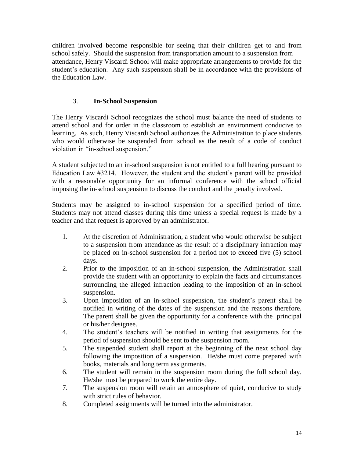children involved become responsible for seeing that their children get to and from school safely. Should the suspension from transportation amount to a suspension from attendance, Henry Viscardi School will make appropriate arrangements to provide for the student's education. Any such suspension shall be in accordance with the provisions of the Education Law.

# 3. **In-School Suspension**

The Henry Viscardi School recognizes the school must balance the need of students to attend school and for order in the classroom to establish an environment conducive to learning. As such, Henry Viscardi School authorizes the Administration to place students who would otherwise be suspended from school as the result of a code of conduct violation in "in-school suspension."

A student subjected to an in-school suspension is not entitled to a full hearing pursuant to Education Law #3214. However, the student and the student's parent will be provided with a reasonable opportunity for an informal conference with the school official imposing the in-school suspension to discuss the conduct and the penalty involved.

Students may be assigned to in-school suspension for a specified period of time. Students may not attend classes during this time unless a special request is made by a teacher and that request is approved by an administrator.

- 1. At the discretion of Administration, a student who would otherwise be subject to a suspension from attendance as the result of a disciplinary infraction may be placed on in-school suspension for a period not to exceed five (5) school days.
- 2. Prior to the imposition of an in-school suspension, the Administration shall provide the student with an opportunity to explain the facts and circumstances surrounding the alleged infraction leading to the imposition of an in-school suspension.
- 3. Upon imposition of an in-school suspension, the student's parent shall be notified in writing of the dates of the suspension and the reasons therefore. The parent shall be given the opportunity for a conference with the principal or his/her designee.
- 4. The student's teachers will be notified in writing that assignments for the period of suspension should be sent to the suspension room.
- 5. The suspended student shall report at the beginning of the next school day following the imposition of a suspension. He/she must come prepared with books, materials and long term assignments.
- 6. The student will remain in the suspension room during the full school day. He/she must be prepared to work the entire day.
- 7. The suspension room will retain an atmosphere of quiet, conducive to study with strict rules of behavior.
- 8. Completed assignments will be turned into the administrator.